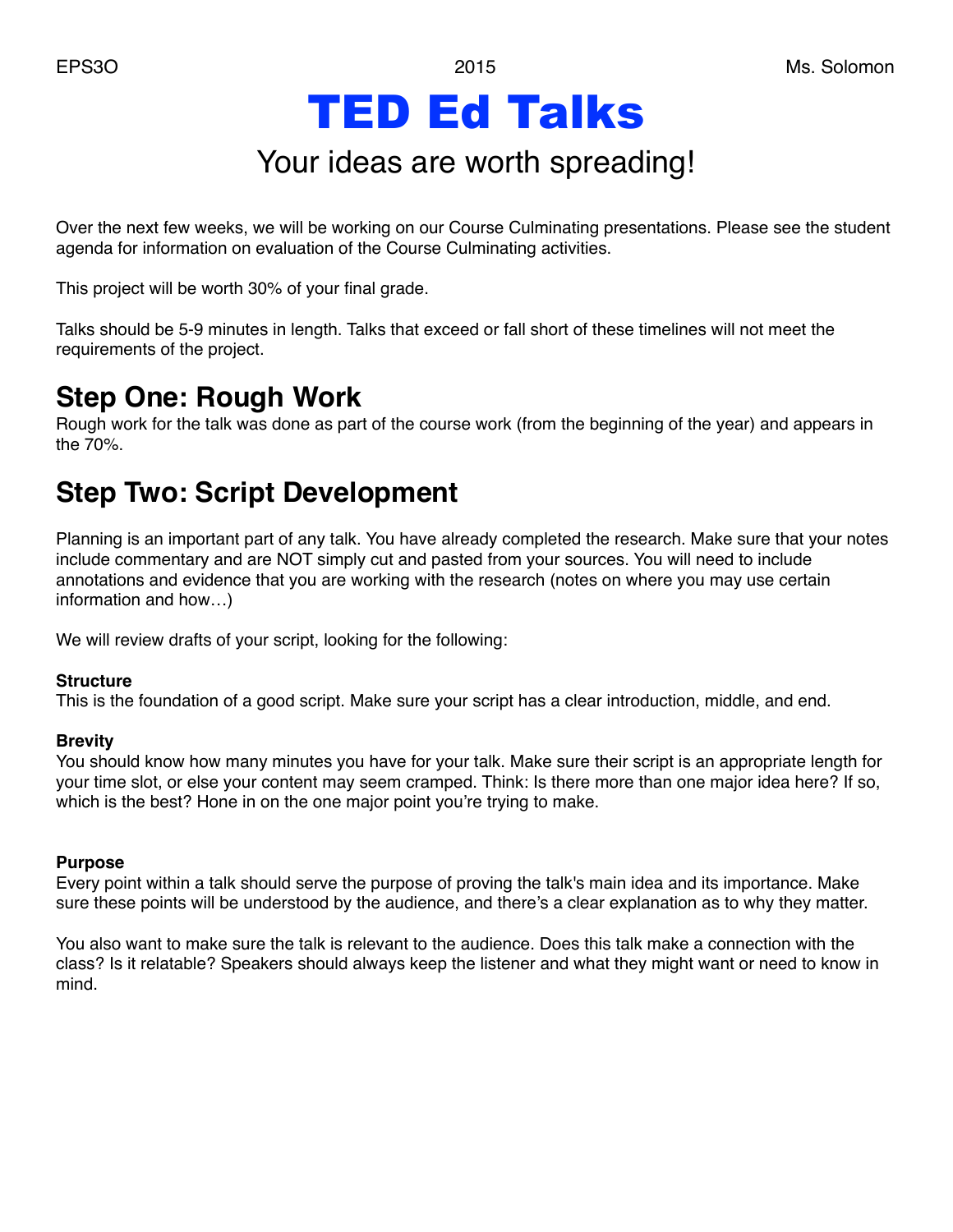# TED Ed Talks

## Your ideas are worth spreading!

Over the next few weeks, we will be working on our Course Culminating presentations. Please see the student agenda for information on evaluation of the Course Culminating activities.

This project will be worth 30% of your final grade.

Talks should be 5-9 minutes in length. Talks that exceed or fall short of these timelines will not meet the requirements of the project.

### **Step One: Rough Work**

Rough work for the talk was done as part of the course work (from the beginning of the year) and appears in the 70%.

### **Step Two: Script Development**

Planning is an important part of any talk. You have already completed the research. Make sure that your notes include commentary and are NOT simply cut and pasted from your sources. You will need to include annotations and evidence that you are working with the research (notes on where you may use certain information and how…)

We will review drafts of your script, looking for the following:

#### **Structure**

This is the foundation of a good script. Make sure your script has a clear introduction, middle, and end.

#### **Brevity**

You should know how many minutes you have for your talk. Make sure their script is an appropriate length for your time slot, or else your content may seem cramped. Think: Is there more than one major idea here? If so, which is the best? Hone in on the one major point you're trying to make.

#### **Purpose**

Every point within a talk should serve the purpose of proving the talk's main idea and its importance. Make sure these points will be understood by the audience, and there's a clear explanation as to why they matter.

You also want to make sure the talk is relevant to the audience. Does this talk make a connection with the class? Is it relatable? Speakers should always keep the listener and what they might want or need to know in mind.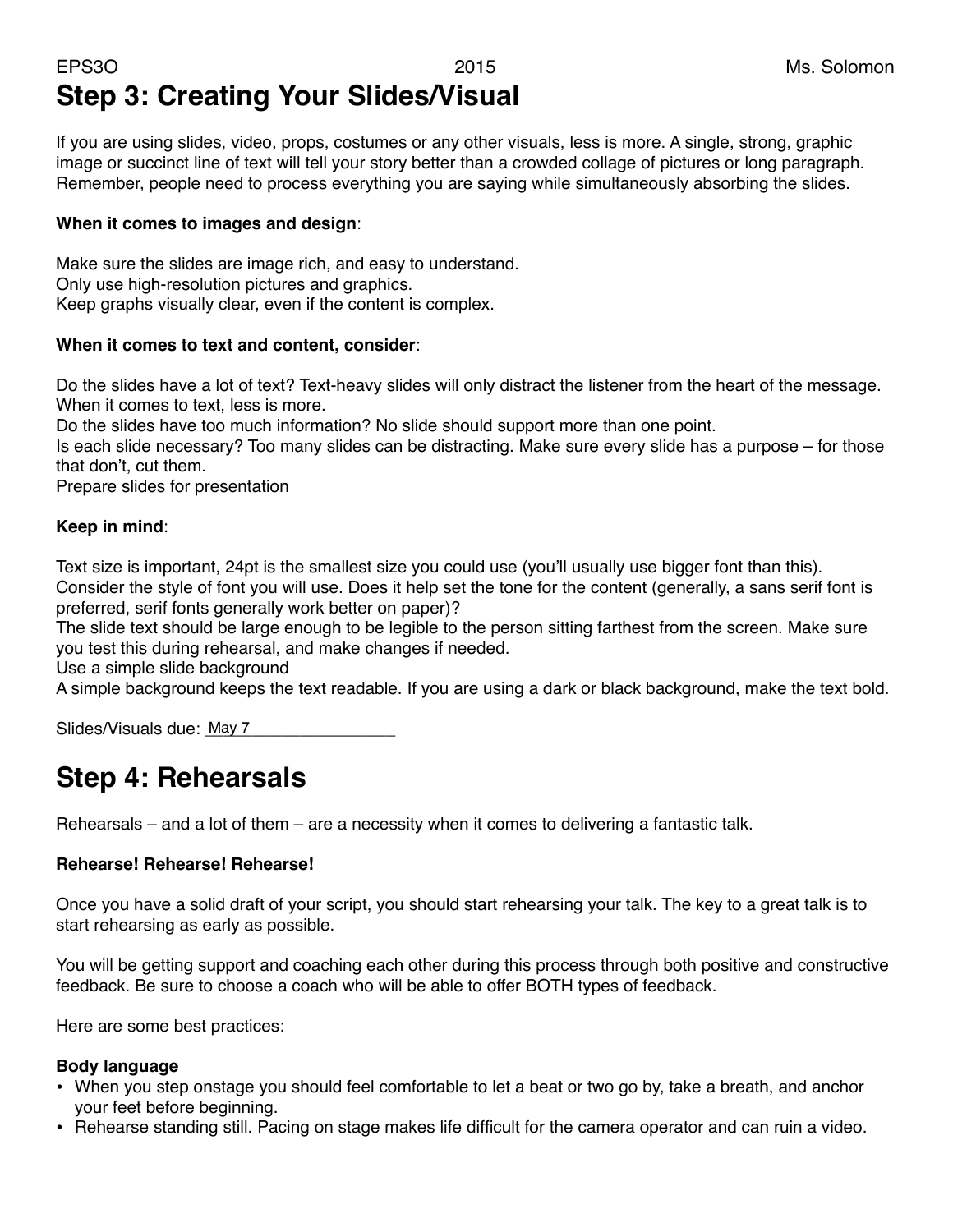### EPS3O 2015 Ms. Solomon **Step 3: Creating Your Slides/Visual**

If you are using slides, video, props, costumes or any other visuals, less is more. A single, strong, graphic image or succinct line of text will tell your story better than a crowded collage of pictures or long paragraph. Remember, people need to process everything you are saying while simultaneously absorbing the slides.

#### **When it comes to images and design**:

Make sure the slides are image rich, and easy to understand. Only use high-resolution pictures and graphics. Keep graphs visually clear, even if the content is complex.

### **When it comes to text and content, consider**:

Do the slides have a lot of text? Text-heavy slides will only distract the listener from the heart of the message. When it comes to text, less is more.

Do the slides have too much information? No slide should support more than one point.

Is each slide necessary? Too many slides can be distracting. Make sure every slide has a purpose – for those that don't, cut them.

Prepare slides for presentation

#### **Keep in mind**:

Text size is important, 24pt is the smallest size you could use (you'll usually use bigger font than this). Consider the style of font you will use. Does it help set the tone for the content (generally, a sans serif font is preferred, serif fonts generally work better on paper)?

The slide text should be large enough to be legible to the person sitting farthest from the screen. Make sure you test this during rehearsal, and make changes if needed.

Use a simple slide background

A simple background keeps the text readable. If you are using a dark or black background, make the text bold.

Slides/Visuals due: May 7

### **Step 4: Rehearsals**

Rehearsals – and a lot of them – are a necessity when it comes to delivering a fantastic talk.

### **Rehearse! Rehearse! Rehearse!**

Once you have a solid draft of your script, you should start rehearsing your talk. The key to a great talk is to start rehearsing as early as possible.

You will be getting support and coaching each other during this process through both positive and constructive feedback. Be sure to choose a coach who will be able to offer BOTH types of feedback.

Here are some best practices:

#### **Body language**

- When you step onstage you should feel comfortable to let a beat or two go by, take a breath, and anchor your feet before beginning.
- Rehearse standing still. Pacing on stage makes life difficult for the camera operator and can ruin a video.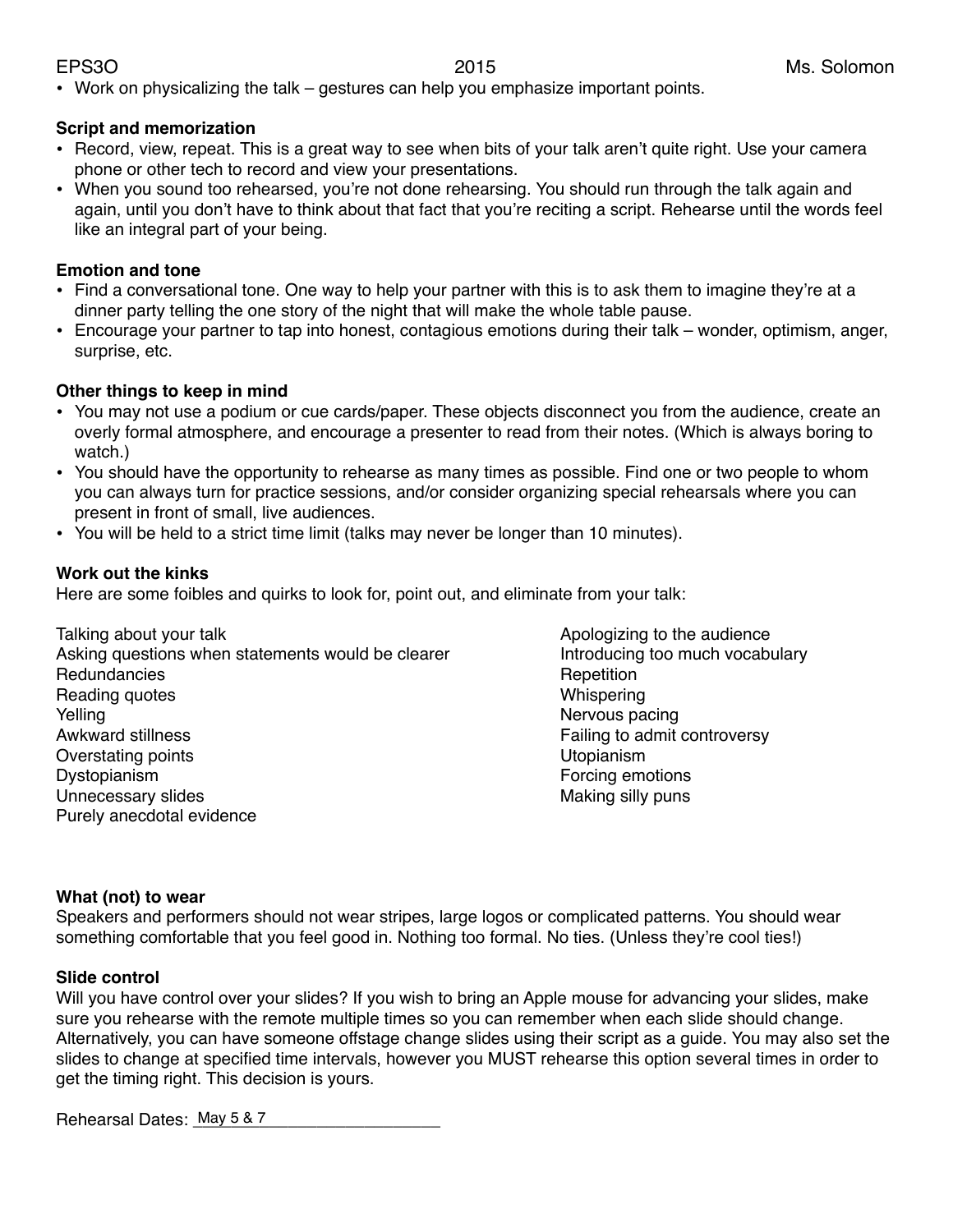• Work on physicalizing the talk – gestures can help you emphasize important points.

#### **Script and memorization**

- Record, view, repeat. This is a great way to see when bits of your talk aren't quite right. Use your camera phone or other tech to record and view your presentations.
- When you sound too rehearsed, you're not done rehearsing. You should run through the talk again and again, until you don't have to think about that fact that you're reciting a script. Rehearse until the words feel like an integral part of your being.

#### **Emotion and tone**

- Find a conversational tone. One way to help your partner with this is to ask them to imagine they're at a dinner party telling the one story of the night that will make the whole table pause.
- Encourage your partner to tap into honest, contagious emotions during their talk wonder, optimism, anger, surprise, etc.

### **Other things to keep in mind**

- You may not use a podium or cue cards/paper. These objects disconnect you from the audience, create an overly formal atmosphere, and encourage a presenter to read from their notes. (Which is always boring to watch.)
- You should have the opportunity to rehearse as many times as possible. Find one or two people to whom you can always turn for practice sessions, and/or consider organizing special rehearsals where you can present in front of small, live audiences.
- You will be held to a strict time limit (talks may never be longer than 10 minutes).

### **Work out the kinks**

Here are some foibles and quirks to look for, point out, and eliminate from your talk:

- Talking about your talk  $\blacksquare$ Asking questions when statements would be clearer **Example 1** Introducing too much vocabulary Redundancies **Business Redundancies Repetition** Reading quotes **Example 2** is the control of the control of the control of the control of the control of the control of the control of the control of the control of the control of the control of the control of the control Yelling **Example 2018** 2019 12:30 Nervous pacing 10 Nervous pacing 10 Nervous pacing Awkward stillness **Awkward stillness Example 2** is the structure of the Failing to admit controversy Overstating points **Example 20** is the contract of the Utopianism Dystopianism **But all the Contract of Contract Contract Contract Contract Contract Contract Contract Contract Contract Contract Contract Contract Contract Contract Contract Contract Contract Contract Contract Contract Cont** Unnecessary slides **Exercise 2018** Making silly puns Purely anecdotal evidence
	-

#### **What (not) to wear**

Speakers and performers should not wear stripes, large logos or complicated patterns. You should wear something comfortable that you feel good in. Nothing too formal. No ties. (Unless they're cool ties!)

#### **Slide control**

Will you have control over your slides? If you wish to bring an Apple mouse for advancing your slides, make sure you rehearse with the remote multiple times so you can remember when each slide should change. Alternatively, you can have someone offstage change slides using their script as a guide. You may also set the slides to change at specified time intervals, however you MUST rehearse this option several times in order to get the timing right. This decision is yours.

Rehearsal Dates: \_\_\_\_\_\_\_\_\_\_\_\_\_\_\_\_\_\_\_\_\_\_\_\_\_\_ May 5 & 7